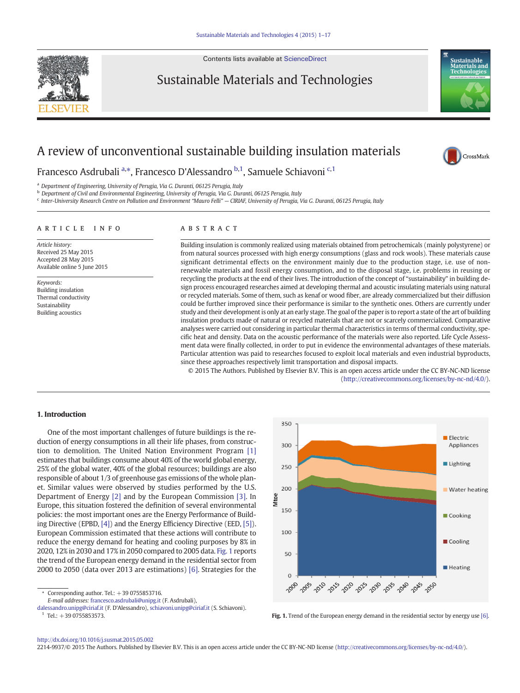Contents lists available at [ScienceDirect](http://www.sciencedirect.com/science/journal/)

## Sustainable Materials and Technologies



CrossMark

# A review of unconventional sustainable building insulation materials

Francesco Asdrubali <sup>a,\*</sup>, Francesco D'Alessandro <sup>b,1</sup>, Samuele Schiavoni <sup>c,1</sup>

<sup>a</sup> Department of Engineering, University of Perugia, Via G. Duranti, 06125 Perugia, Italy

<sup>b</sup> Department of Civil and Environmental Engineering, University of Perugia, Via G. Duranti, 06125 Perugia, Italy

<sup>c</sup> Inter-University Research Centre on Pollution and Environment "Mauro Felli" — CIRIAF, University of Perugia, Via G. Duranti, 06125 Perugia, Italy

## article info abstract

Article history: Received 25 May 2015 Accepted 28 May 2015 Available online 5 June 2015

Keywords: Building insulation Thermal conductivity Sustainability Building acoustics

Building insulation is commonly realized using materials obtained from petrochemicals (mainly polystyrene) or from natural sources processed with high energy consumptions (glass and rock wools). These materials cause significant detrimental effects on the environment mainly due to the production stage, i.e. use of nonrenewable materials and fossil energy consumption, and to the disposal stage, i.e. problems in reusing or recycling the products at the end of their lives. The introduction of the concept of "sustainability" in building design process encouraged researches aimed at developing thermal and acoustic insulating materials using natural or recycled materials. Some of them, such as kenaf or wood fiber, are already commercialized but their diffusion could be further improved since their performance is similar to the synthetic ones. Others are currently under study and their development is only at an early stage. The goal of the paper is to report a state of the art of building insulation products made of natural or recycled materials that are not or scarcely commercialized. Comparative analyses were carried out considering in particular thermal characteristics in terms of thermal conductivity, specific heat and density. Data on the acoustic performance of the materials were also reported. Life Cycle Assessment data were finally collected, in order to put in evidence the environmental advantages of these materials. Particular attention was paid to researches focused to exploit local materials and even industrial byproducts, since these approaches respectively limit transportation and disposal impacts.

© 2015 The Authors. Published by Elsevier B.V. This is an open access article under the CC BY-NC-ND license ([http://creativecommons.org/licenses/by-nc-nd/4.0/\)](http://creativecommons.org/licenses/by-nc-nd/4.0/).

### 1. Introduction

One of the most important challenges of future buildings is the reduction of energy consumptions in all their life phases, from construction to demolition. The United Nation Environment Program [\[1\]](#page--1-0) estimates that buildings consume about 40% of the world global energy, 25% of the global water, 40% of the global resources; buildings are also responsible of about 1/3 of greenhouse gas emissions of the whole planet. Similar values were observed by studies performed by the U.S. Department of Energy [\[2\]](#page--1-0) and by the European Commission [\[3\].](#page--1-0) In Europe, this situation fostered the definition of several environmental policies: the most important ones are the Energy Performance of Building Directive (EPBD, [\[4\]\)](#page--1-0) and the Energy Efficiency Directive (EED, [\[5\]](#page--1-0)). European Commission estimated that these actions will contribute to reduce the energy demand for heating and cooling purposes by 8% in 2020, 12% in 2030 and 17% in 2050 compared to 2005 data. Fig. 1 reports the trend of the European energy demand in the residential sector from 2000 to 2050 (data over 2013 are estimations) [\[6\].](#page--1-0) Strategies for the

⁎ Corresponding author. Tel.: +39 0755853716.

E-mail addresses: <francesco.asdrubali@unipg.it> (F. Asdrubali),

<dalessandro.unipg@ciriaf.it> (F. D'Alessandro), <schiavoni.unipg@ciriaf.it> (S. Schiavoni). <sup>1</sup> Tel.: +39 0755853573. Fig. 1. Trend of the European energy demand in the residential sector by energy use [\[6\].](#page--1-0)



#### <http://dx.doi.org/10.1016/j.susmat.2015.05.002>

2214-9937/© 2015 The Authors. Published by Elsevier B.V. This is an open access article under the CC BY-NC-ND license (<http://creativecommons.org/licenses/by-nc-nd/4.0/>).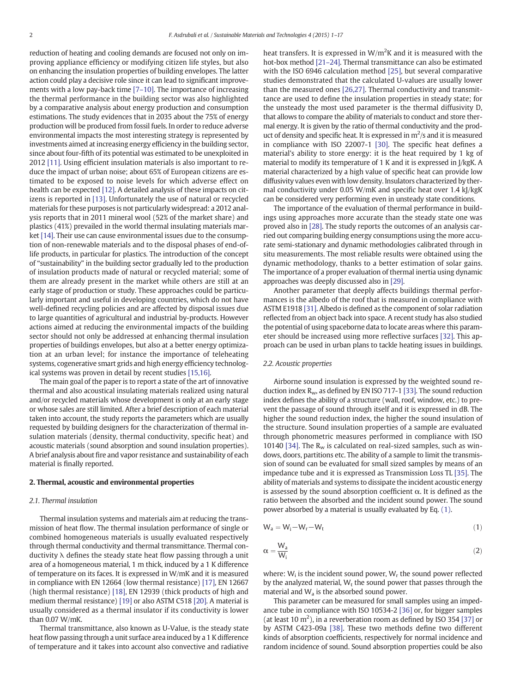reduction of heating and cooling demands are focused not only on improving appliance efficiency or modifying citizen life styles, but also on enhancing the insulation properties of building envelopes. The latter action could play a decisive role since it can lead to significant improvements with a low pay-back time [7–[10\]](#page--1-0). The importance of increasing the thermal performance in the building sector was also highlighted by a comparative analysis about energy production and consumption estimations. The study evidences that in 2035 about the 75% of energy production will be produced from fossil fuels. In order to reduce adverse environmental impacts the most interesting strategy is represented by investments aimed at increasing energy efficiency in the building sector, since about four-fifth of its potential was estimated to be unexploited in 2012 [\[11\].](#page--1-0) Using efficient insulation materials is also important to reduce the impact of urban noise; about 65% of European citizens are estimated to be exposed to noise levels for which adverse effect on health can be expected [\[12\]](#page--1-0). A detailed analysis of these impacts on citizens is reported in [\[13\].](#page--1-0) Unfortunately the use of natural or recycled materials for these purposes is not particularly widespread: a 2012 analysis reports that in 2011 mineral wool (52% of the market share) and plastics (41%) prevailed in the world thermal insulating materials market [\[14\]](#page--1-0). Their use can cause environmental issues due to the consumption of non-renewable materials and to the disposal phases of end-oflife products, in particular for plastics. The introduction of the concept of "sustainability" in the building sector gradually led to the production of insulation products made of natural or recycled material; some of them are already present in the market while others are still at an early stage of production or study. These approaches could be particularly important and useful in developing countries, which do not have well-defined recycling policies and are affected by disposal issues due to large quantities of agricultural and industrial by-products. However actions aimed at reducing the environmental impacts of the building sector should not only be addressed at enhancing thermal insulation properties of buildings envelopes, but also at a better energy optimization at an urban level; for instance the importance of teleheating systems, cogenerative smart grids and high energy efficiency technological systems was proven in detail by recent studies [\[15,16\]](#page--1-0).

The main goal of the paper is to report a state of the art of innovative thermal and also acoustical insulating materials realized using natural and/or recycled materials whose development is only at an early stage or whose sales are still limited. After a brief description of each material taken into account, the study reports the parameters which are usually requested by building designers for the characterization of thermal insulation materials (density, thermal conductivity, specific heat) and acoustic materials (sound absorption and sound insulation properties). A brief analysis about fire and vapor resistance and sustainability of each material is finally reported.

#### 2. Thermal, acoustic and environmental properties

### 2.1. Thermal insulation

Thermal insulation systems and materials aim at reducing the transmission of heat flow. The thermal insulation performance of single or combined homogeneous materials is usually evaluated respectively through thermal conductivity and thermal transmittance. Thermal conductivity λ defines the steady state heat flow passing through a unit area of a homogeneous material, 1 m thick, induced by a 1 K difference of temperature on its faces. It is expressed in W/mK and it is measured in compliance with EN 12664 (low thermal resistance) [\[17\]](#page--1-0), EN 12667 (high thermal resistance) [\[18\],](#page--1-0) EN 12939 (thick products of high and medium thermal resistance) [\[19\]](#page--1-0) or also ASTM C518 [\[20\]](#page--1-0). A material is usually considered as a thermal insulator if its conductivity is lower than 0.07 W/mK.

Thermal transmittance, also known as U-Value, is the steady state heat flow passing through a unit surface area induced by a 1 K difference of temperature and it takes into account also convective and radiative heat transfers. It is expressed in  $W/m^2K$  and it is measured with the hot-box method [21–[24\].](#page--1-0) Thermal transmittance can also be estimated with the ISO 6946 calculation method [\[25\]](#page--1-0), but several comparative studies demonstrated that the calculated U-values are usually lower than the measured ones [\[26,27\]](#page--1-0). Thermal conductivity and transmittance are used to define the insulation properties in steady state; for the unsteady the most used parameter is the thermal diffusivity D, that allows to compare the ability of materials to conduct and store thermal energy. It is given by the ratio of thermal conductivity and the product of density and specific heat. It is expressed in  $m^2/s$  and it is measured in compliance with ISO 22007-1 [\[30\].](#page--1-0) The specific heat defines a material's ability to store energy: it is the heat required by 1 kg of material to modify its temperature of 1 K and it is expressed in J/kgK. A material characterized by a high value of specific heat can provide low diffusivity values even with low density. Insulators characterized by thermal conductivity under 0.05 W/mK and specific heat over 1.4 kJ/kgK can be considered very performing even in unsteady state conditions.

The importance of the evaluation of thermal performance in buildings using approaches more accurate than the steady state one was proved also in [\[28\].](#page--1-0) The study reports the outcomes of an analysis carried out comparing building energy consumptions using the more accurate semi-stationary and dynamic methodologies calibrated through in situ measurements. The most reliable results were obtained using the dynamic methodology, thanks to a better estimation of solar gains. The importance of a proper evaluation of thermal inertia using dynamic approaches was deeply discussed also in [\[29\].](#page--1-0)

Another parameter that deeply affects buildings thermal performances is the albedo of the roof that is measured in compliance with ASTM E1918 [\[31\]](#page--1-0). Albedo is defined as the component of solar radiation reflected from an object back into space. A recent study has also studied the potential of using spaceborne data to locate areas where this parameter should be increased using more reflective surfaces [\[32\]](#page--1-0). This approach can be used in urban plans to tackle heating issues in buildings.

### 2.2. Acoustic properties

Airborne sound insulation is expressed by the weighted sound reduction index  $R_w$ , as defined by EN ISO 717-1 [\[33\].](#page--1-0) The sound reduction index defines the ability of a structure (wall, roof, window, etc.) to prevent the passage of sound through itself and it is expressed in dB. The higher the sound reduction index, the higher the sound insulation of the structure. Sound insulation properties of a sample are evaluated through phonometric measures performed in compliance with ISO 10140 [\[34\]](#page--1-0). The  $R_w$  is calculated on real-sized samples, such as windows, doors, partitions etc. The ability of a sample to limit the transmission of sound can be evaluated for small sized samples by means of an impedance tube and it is expressed as Transmission Loss TL [\[35\]](#page--1-0). The ability of materials and systems to dissipate the incident acoustic energy is assessed by the sound absorption coefficient  $\alpha$ . It is defined as the ratio between the absorbed and the incident sound power. The sound power absorbed by a material is usually evaluated by Eq. (1).

$$
W_a = W_i - W_r - W_t \tag{1}
$$

$$
\alpha = \frac{W_a}{W_i} \tag{2}
$$

where:  $W_i$  is the incident sound power,  $W_r$  the sound power reflected by the analyzed material,  $W_t$  the sound power that passes through the material and  $W_a$  is the absorbed sound power.

This parameter can be measured for small samples using an impedance tube in compliance with ISO 10534-2 [\[36\]](#page--1-0) or, for bigger samples (at least 10  $m<sup>2</sup>$ ), in a reverberation room as defined by ISO 354 [\[37\]](#page--1-0) or by ASTM C423-09a [\[38\].](#page--1-0) These two methods define two different kinds of absorption coefficients, respectively for normal incidence and random incidence of sound. Sound absorption properties could be also